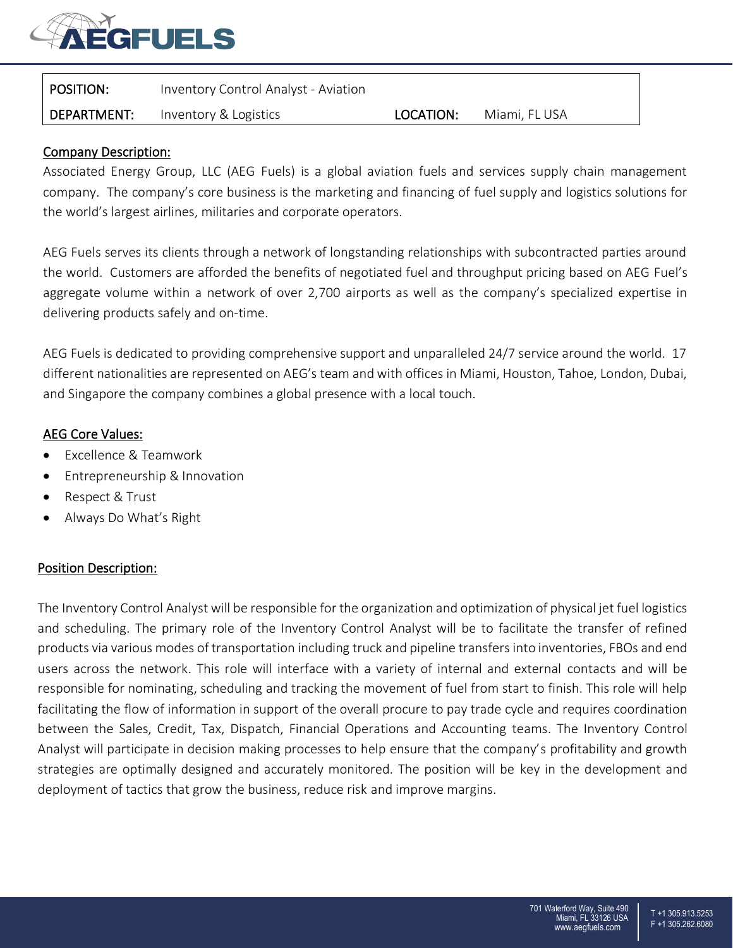

| $\mid$ position: | Inventory Control Analyst - Aviation |           |               |
|------------------|--------------------------------------|-----------|---------------|
| DEPARTMENT:      | Inventory & Logistics                | LOCATION: | Miami, FL USA |

## Company Description:

Associated Energy Group, LLC (AEG Fuels) is a global aviation fuels and services supply chain management company. The company's core business is the marketing and financing of fuel supply and logistics solutions for the world's largest airlines, militaries and corporate operators.

AEG Fuels serves its clients through a network of longstanding relationships with subcontracted parties around the world. Customers are afforded the benefits of negotiated fuel and throughput pricing based on AEG Fuel's aggregate volume within a network of over 2,700 airports as well as the company's specialized expertise in delivering products safely and on-time.

AEG Fuels is dedicated to providing comprehensive support and unparalleled 24/7 service around the world. 17 different nationalities are represented on AEG's team and with offices in Miami, Houston, Tahoe, London, Dubai, and Singapore the company combines a global presence with a local touch.

## AEG Core Values:

- Excellence & Teamwork
- Entrepreneurship & Innovation
- Respect & Trust
- Always Do What's Right

### Position Description:

The Inventory Control Analyst will be responsible for the organization and optimization of physical jet fuel logistics and scheduling. The primary role of the Inventory Control Analyst will be to facilitate the transfer of refined products via various modes of transportation including truck and pipeline transfers into inventories, FBOs and end users across the network. This role will interface with a variety of internal and external contacts and will be responsible for nominating, scheduling and tracking the movement of fuel from start to finish. This role will help facilitating the flow of information in support of the overall procure to pay trade cycle and requires coordination between the Sales, Credit, Tax, Dispatch, Financial Operations and Accounting teams. The Inventory Control Analyst will participate in decision making processes to help ensure that the company's profitability and growth strategies are optimally designed and accurately monitored. The position will be key in the development and deployment of tactics that grow the business, reduce risk and improve margins.